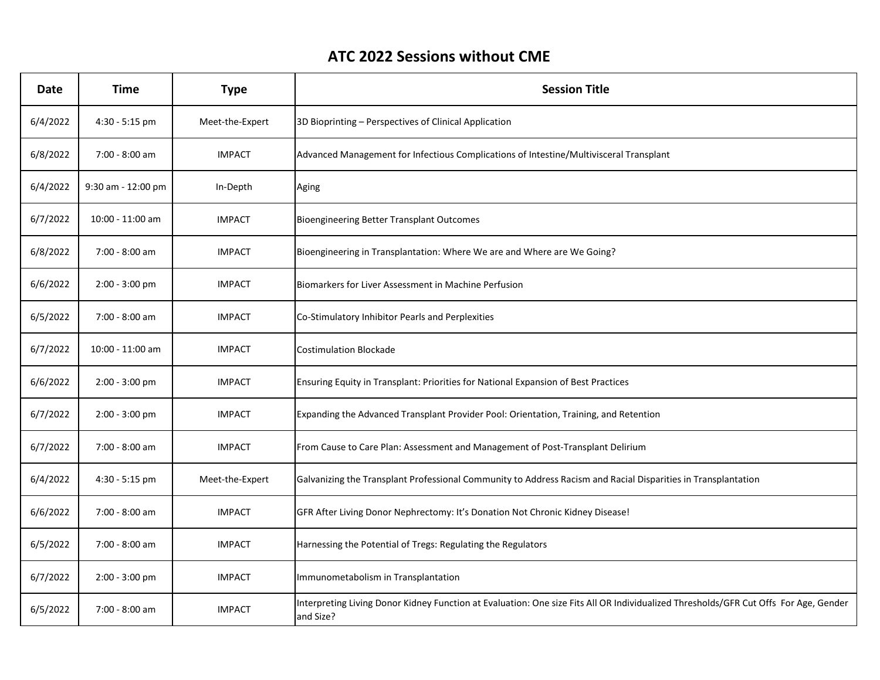## **ATC 2022 Sessions without CME**

| <b>Date</b> | <b>Time</b>        | <b>Type</b>     | <b>Session Title</b>                                                                                                                              |
|-------------|--------------------|-----------------|---------------------------------------------------------------------------------------------------------------------------------------------------|
| 6/4/2022    | $4:30 - 5:15$ pm   | Meet-the-Expert | 3D Bioprinting – Perspectives of Clinical Application                                                                                             |
| 6/8/2022    | 7:00 - 8:00 am     | <b>IMPACT</b>   | Advanced Management for Infectious Complications of Intestine/Multivisceral Transplant                                                            |
| 6/4/2022    | 9:30 am - 12:00 pm | In-Depth        | Aging                                                                                                                                             |
| 6/7/2022    | 10:00 - 11:00 am   | <b>IMPACT</b>   | <b>Bioengineering Better Transplant Outcomes</b>                                                                                                  |
| 6/8/2022    | 7:00 - 8:00 am     | <b>IMPACT</b>   | Bioengineering in Transplantation: Where We are and Where are We Going?                                                                           |
| 6/6/2022    | 2:00 - 3:00 pm     | <b>IMPACT</b>   | Biomarkers for Liver Assessment in Machine Perfusion                                                                                              |
| 6/5/2022    | 7:00 - 8:00 am     | <b>IMPACT</b>   | Co-Stimulatory Inhibitor Pearls and Perplexities                                                                                                  |
| 6/7/2022    | 10:00 - 11:00 am   | <b>IMPACT</b>   | <b>Costimulation Blockade</b>                                                                                                                     |
| 6/6/2022    | $2:00 - 3:00$ pm   | <b>IMPACT</b>   | Ensuring Equity in Transplant: Priorities for National Expansion of Best Practices                                                                |
| 6/7/2022    | 2:00 - 3:00 pm     | <b>IMPACT</b>   | Expanding the Advanced Transplant Provider Pool: Orientation, Training, and Retention                                                             |
| 6/7/2022    | 7:00 - 8:00 am     | <b>IMPACT</b>   | From Cause to Care Plan: Assessment and Management of Post-Transplant Delirium                                                                    |
| 6/4/2022    | 4:30 - 5:15 pm     | Meet-the-Expert | Galvanizing the Transplant Professional Community to Address Racism and Racial Disparities in Transplantation                                     |
| 6/6/2022    | 7:00 - 8:00 am     | <b>IMPACT</b>   | GFR After Living Donor Nephrectomy: It's Donation Not Chronic Kidney Disease!                                                                     |
| 6/5/2022    | 7:00 - 8:00 am     | <b>IMPACT</b>   | Harnessing the Potential of Tregs: Regulating the Regulators                                                                                      |
| 6/7/2022    | 2:00 - 3:00 pm     | <b>IMPACT</b>   | Immunometabolism in Transplantation                                                                                                               |
| 6/5/2022    | 7:00 - 8:00 am     | <b>IMPACT</b>   | Interpreting Living Donor Kidney Function at Evaluation: One size Fits All OR Individualized Thresholds/GFR Cut Offs For Age, Gender<br>and Size? |